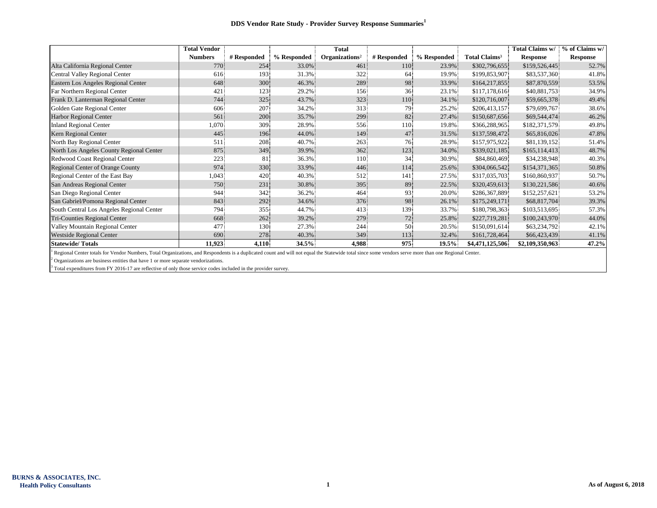|                                           | <b>Total Vendor</b> |             |             | <b>Total</b>               |             |             |                           | Total Claims w/ | % of Claims w/  |
|-------------------------------------------|---------------------|-------------|-------------|----------------------------|-------------|-------------|---------------------------|-----------------|-----------------|
|                                           | <b>Numbers</b>      | # Responded | % Responded | Organizations <sup>2</sup> | # Responded | % Responded | Total Claims <sup>3</sup> | <b>Response</b> | <b>Response</b> |
| Alta California Regional Center           | 770                 | 254         | 33.0%       | 461                        | 110         | 23.9%       | \$302,796,655             | \$159,526,445   | 52.7%           |
| Central Valley Regional Center            | 616                 | 193         | 31.3%       | 322                        | 64          | 19.9%       | \$199,853,907             | \$83,537,360    | 41.8%           |
| Eastern Los Angeles Regional Center       | 648                 | 300         | 46.3%       | 289                        | 98          | 33.9%       | \$164,217,855             | \$87,870,559    | 53.5%           |
| Far Northern Regional Center              | 421                 | 123         | 29.2%       | 156                        | 36          | 23.1%       | \$117,178,616             | \$40,881,753    | 34.9%           |
| Frank D. Lanterman Regional Center        | 744                 | 325         | 43.7%       | 323                        | 110         | 34.1%       | \$120,716,007             | \$59,665,378    | 49.4%           |
| Golden Gate Regional Center               | 606                 | 207         | 34.2%       | 313                        | 79.         | 25.2%       | \$206,413,157             | \$79,699,767    | 38.6%           |
| <b>Harbor Regional Center</b>             | 561                 | 200         | 35.7%       | 299                        | 82          | 27.4%       | \$150,687,656             | \$69,544,474    | 46.2%           |
| <b>Inland Regional Center</b>             | 1,070               | 309         | 28.9%       | 556                        | 110         | 19.8%       | \$366,288,965             | \$182,371,579   | 49.8%           |
| Kern Regional Center                      | 445                 | 196         | 44.0%       | 149                        | 47          | 31.5%       | \$137,598,472             | \$65,816,026    | 47.8%           |
| North Bay Regional Center                 | 511                 | 208         | 40.7%       | 263                        | 76          | 28.9%       | \$157,975,922             | \$81,139,152    | 51.4%           |
| North Los Angeles County Regional Center  | 875                 | 349         | 39.9%       | 362                        | 123         | 34.0%       | \$339,021,185             | \$165,114,413   | 48.7%           |
| Redwood Coast Regional Center             | 223                 | 81          | 36.3%       | 110                        | 34          | 30.9%       | \$84,860,469              | \$34,238,948    | 40.3%           |
| Regional Center of Orange County          | 974                 | 330         | 33.9%       | 446                        | 114         | 25.6%       | \$304,066,542             | \$154,371,365   | 50.8%           |
| Regional Center of the East Bay           | 1,043               | 420         | 40.3%       | 512                        | 141         | 27.5%       | \$317,035,703             | \$160,860,937   | 50.7%           |
| San Andreas Regional Center               | 750                 | 231         | 30.8%       | 395                        | 89          | 22.5%       | \$320,459,613             | \$130,221,586   | 40.6%           |
| San Diego Regional Center                 | 944                 | 342         | 36.2%       | 464                        | 93          | 20.0%       | \$286,367,889             | \$152,257,621   | 53.2%           |
| San Gabriel/Pomona Regional Center        | 843                 | 292.        | 34.6%       | 376                        | 98          | 26.1%       | \$175,249,171             | \$68,817,704    | 39.3%           |
| South Central Los Angeles Regional Center | 794                 | 355         | 44.7%       | 413                        | 139         | 33.7%       | \$180,798,363             | \$103,513,695   | 57.3%           |
| Tri-Counties Regional Center              | 668                 | 262         | 39.2%       | 279                        | 72          | 25.8%       | \$227,719,281             | \$100,243,970   | 44.0%           |
| Valley Mountain Regional Center           | 477                 | 130         | 27.3%       | 244                        | 50          | 20.5%       | \$150,091,614             | \$63,234,792    | 42.1%           |
| <b>Westside Regional Center</b>           | 690                 | 278         | 40.3%       | 349                        | 113         | 32.4%       | \$161,728,464             | \$66,423,439    | 41.1%           |
| <b>Statewide/Totals</b>                   | 11,923              | 4,110       | $34.5\%$    | 4,988                      | 975         | $19.5\%$    | \$4,471,125,506           | \$2,109,350,963 | 47.2%           |

<sup>1</sup> Regional Center totals for Vendor Numbers, Total Organizations, and Respondents is a duplicated count and will not equal the Statewide total since some vendors serve more than one Regional Center.

 $2$  Organizations are business entities that have 1 or more separate vendorizations.

<sup>3</sup> Total expenditures from FY 2016-17 are reflective of only those service codes included in the provider survey.